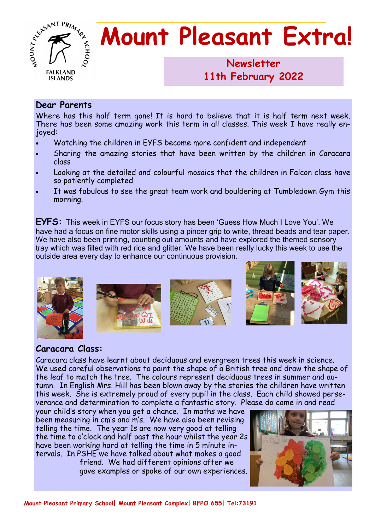

# **Mount Pleasant Extra!**

## **Newsletter 1986 11th February 2022**

#### **Dear Parents**

Where has this half term gone! It is hard to believe that it is half term next week. There has been some amazing work this term in all classes. This week I have really enjoyed:

- Watching the children in EYFS become more confident and independent
- Sharing the amazing stories that have been written by the children in Caracara class
- Looking at the detailed and colourful mosaics that the children in Falcon class have so patiently completed
- It was fabulous to see the great team work and bouldering at Tumbledown Gym this morning.

**EYFS:** This week in EYFS our focus story has been 'Guess How Much I Love You'. We have had a focus on fine motor skills using a pincer grip to write, thread beads and tear paper. We have also been printing, counting out amounts and have explored the themed sensory tray which was filled with red rice and glitter. We have been really lucky this week to use the outside area every day to enhance our continuous provision.



### **Caracara Class:**

Caracara class have learnt about deciduous and evergreen trees this week in science. We used careful observations to paint the shape of a British tree and draw the shape of the leaf to match the tree. The colours represent deciduous trees in summer and autumn. In English Mrs. Hill has been blown away by the stories the children have written this week. She is extremely proud of every pupil in the class. Each child showed perseverance and determination to complete a fantastic story. Please do come in and read

your child's story when you get a chance. In maths we have been measuring in cm's and m's. We have also been revising telling the time. The year 1s are now very good at telling the time to o'clock and half past the hour whilst the year 2s have been working hard at telling the time in 5 minute intervals. In PSHE we have talked about what makes a good

friend. We had different opinions after we gave examples or spoke of our own experiences.

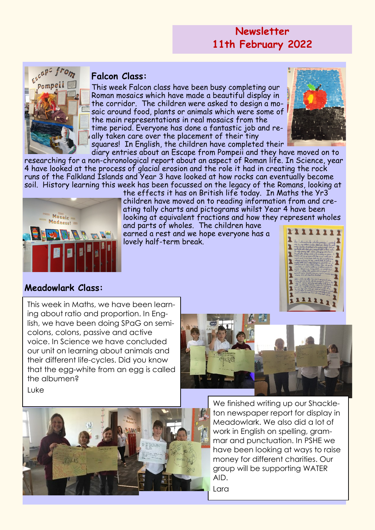## **Newsletter 11th February 2022**



## **Falcon Class:**

This week Falcon class have been busy completing our Roman mosaics which have made a beautiful display in the corridor. The children were asked to design a mosaic around food, plants or animals which were some of the main representations in real mosaics from the time period. Everyone has done a fantastic job and really taken care over the placement of their tiny squares! In English, the children have completed their



diary entries about an Escape from Pompeii and they have moved on to researching for a non-chronological report about an aspect of Roman life. In Science, year 4 have looked at the process of glacial erosion and the role it had in creating the rock runs of the Falkland Islands and Year 3 have looked at how rocks can eventually become soil. History learning this week has been focussed on the legacy of the Romans, looking at



the effects it has on British life today. In Maths the Yr3 children have moved on to reading information from and creating tally charts and pictograms whilst Year 4 have been looking at equivalent fractions and how they represent wholes

and parts of wholes. The children have earned a rest and we hope everyone has a lovely half-term break.



### **Meadowlark Class:**

This week in Maths, we have been learning about ratio and proportion. In English, we have been doing SPaG on semicolons, colons, passive and active voice. In Science we have concluded our unit on learning about animals and their different life-cycles. Did you know that the egg-white from an egg is called the albumen?



Luke



We finished writing up our Shackleton newspaper report for display in Meadowlark. We also did a lot of work in English on spelling, grammar and punctuation. In PSHE we have been looking at ways to raise money for different charities. Our group will be supporting WATER AID.

Lara